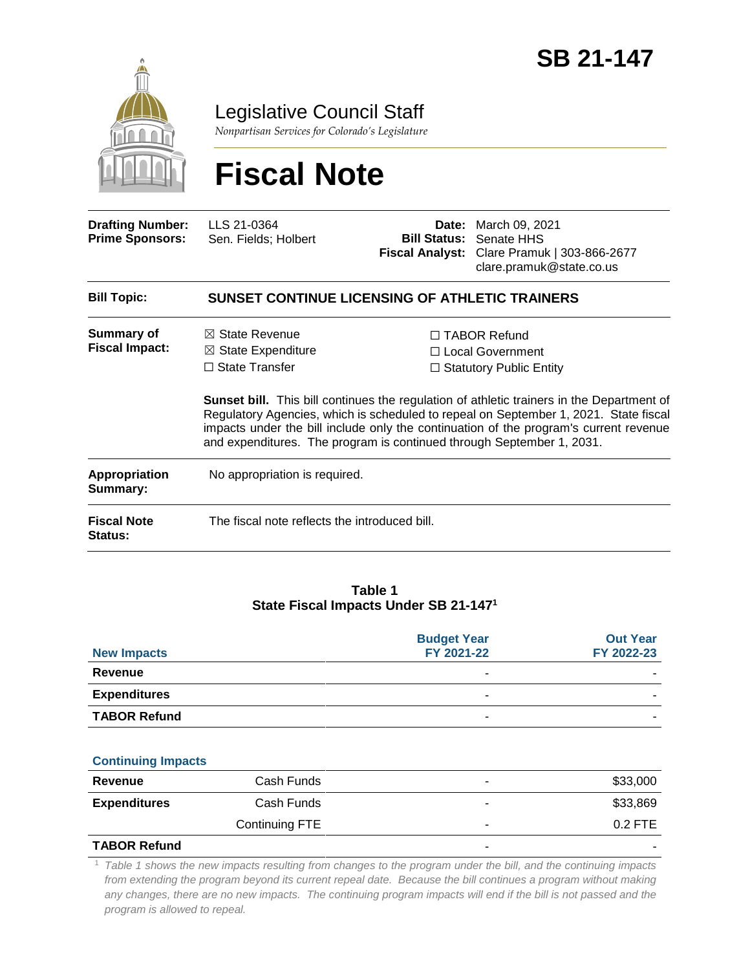

Legislative Council Staff

*Nonpartisan Services for Colorado's Legislature*

# **Fiscal Note**

| <b>Drafting Number:</b><br><b>Prime Sponsors:</b> | LLS 21-0364<br>Sen. Fields; Holbert                                                                                                                                                                                                                                                                                                                        |  | <b>Date:</b> March 09, 2021<br><b>Bill Status: Senate HHS</b><br>Fiscal Analyst: Clare Pramuk   303-866-2677<br>clare.pramuk@state.co.us |  |  |
|---------------------------------------------------|------------------------------------------------------------------------------------------------------------------------------------------------------------------------------------------------------------------------------------------------------------------------------------------------------------------------------------------------------------|--|------------------------------------------------------------------------------------------------------------------------------------------|--|--|
| <b>Bill Topic:</b>                                | <b>SUNSET CONTINUE LICENSING OF ATHLETIC TRAINERS</b>                                                                                                                                                                                                                                                                                                      |  |                                                                                                                                          |  |  |
| <b>Summary of</b><br><b>Fiscal Impact:</b>        | $\boxtimes$ State Revenue<br>$\boxtimes$ State Expenditure<br>$\Box$ State Transfer                                                                                                                                                                                                                                                                        |  | □ TABOR Refund<br>□ Local Government<br>$\Box$ Statutory Public Entity                                                                   |  |  |
|                                                   | <b>Sunset bill.</b> This bill continues the regulation of athletic trainers in the Department of<br>Regulatory Agencies, which is scheduled to repeal on September 1, 2021. State fiscal<br>impacts under the bill include only the continuation of the program's current revenue<br>and expenditures. The program is continued through September 1, 2031. |  |                                                                                                                                          |  |  |
| <b>Appropriation</b><br>Summary:                  | No appropriation is required.                                                                                                                                                                                                                                                                                                                              |  |                                                                                                                                          |  |  |
| <b>Fiscal Note</b><br><b>Status:</b>              | The fiscal note reflects the introduced bill.                                                                                                                                                                                                                                                                                                              |  |                                                                                                                                          |  |  |

### **Table 1 State Fiscal Impacts Under SB 21-147<sup>1</sup>**

| <b>New Impacts</b>  | <b>Budget Year</b><br>FY 2021-22 | <b>Out Year</b><br>FY 2022-23 |
|---------------------|----------------------------------|-------------------------------|
| Revenue             | -                                |                               |
| <b>Expenditures</b> | -                                |                               |
| <b>TABOR Refund</b> | ۰                                |                               |

#### **Continuing Impacts**

| Revenue             | Cash Funds     | \$33,000  |
|---------------------|----------------|-----------|
| <b>Expenditures</b> | Cash Funds     | \$33,869  |
|                     | Continuing FTE | $0.2$ FTE |
| <b>TABOR Refund</b> |                |           |

<sup>1</sup> *Table 1 shows the new impacts resulting from changes to the program under the bill, and the continuing impacts from extending the program beyond its current repeal date. Because the bill continues a program without making any changes, there are no new impacts. The continuing program impacts will end if the bill is not passed and the program is allowed to repeal.*